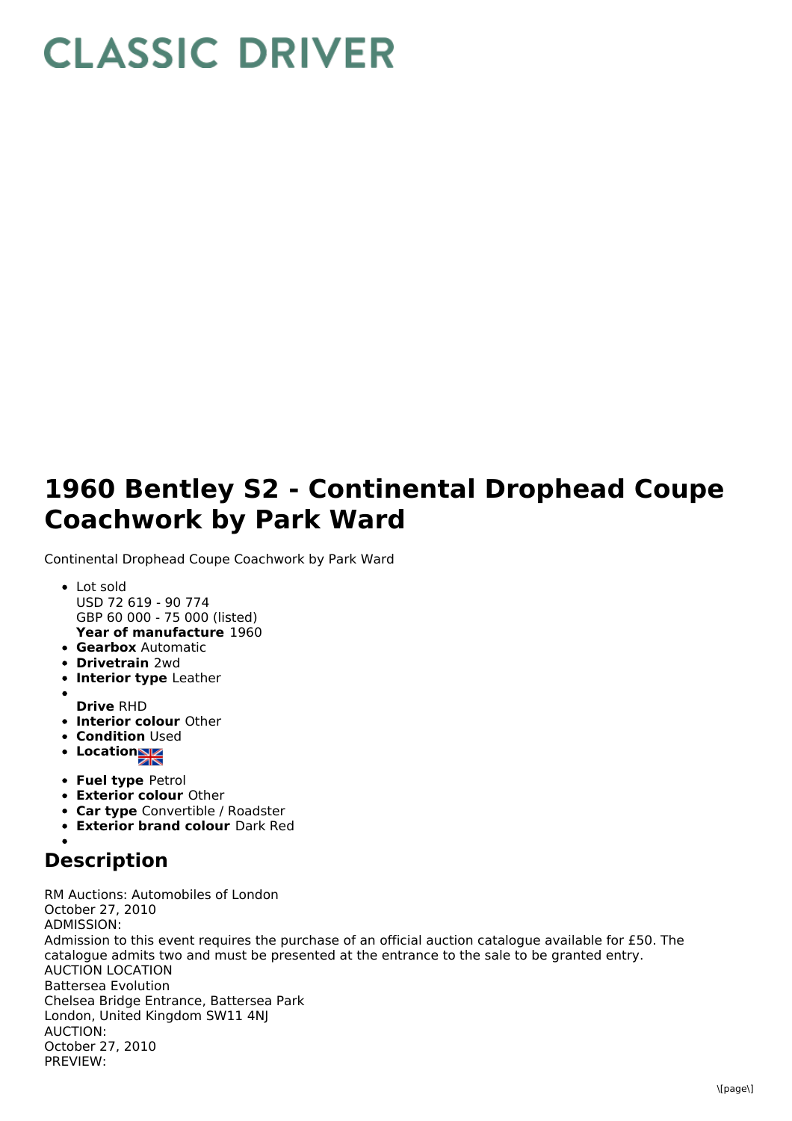## **CLASSIC DRIVER**

## **1960 Bentley S2 - Continental Drophead Coupe Coachwork by Park Ward**

Continental Drophead Coupe Coachwork by Park Ward

- **Year of manufacture** 1960 Lot sold USD 72 619 - 90 774 GBP 60 000 - 75 000 (listed)
- **Gearbox** Automatic
- **Drivetrain** 2wd
- **Interior type** Leather
- **Drive** RHD
- **Interior colour** Other
- **Condition Used**
- **Locations**
- **Fuel type** Petrol
- **Exterior colour** Other
- **Car type** Convertible / Roadster
- **Exterior brand colour** Dark Red

## **Description**

RM Auctions: Automobiles of London October 27, 2010 ADMISSION: Admission to this event requires the purchase of an official auction catalogue available for £50. The catalogue admits two and must be presented at the entrance to the sale to be granted entry. AUCTION LOCATION Battersea Evolution Chelsea Bridge Entrance, Battersea Park London, United Kingdom SW11 4NJ AUCTION: October 27, 2010 PREVIEW: